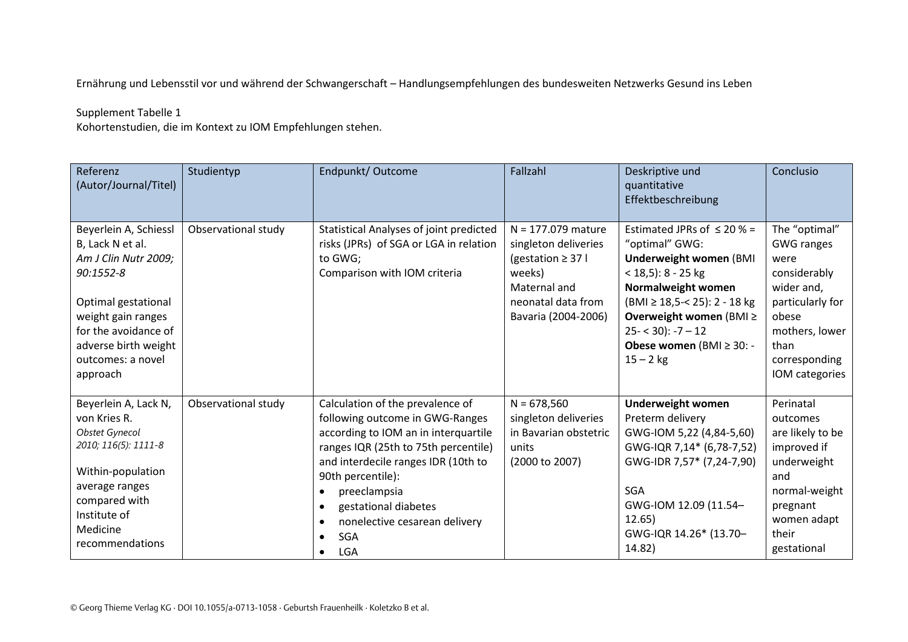Ernährung und Lebensstil vor und während der Schwangerschaft – Handlungsempfehlungen des bundesweiten Netzwerks Gesund ins Leben

## Supplement Tabelle 1

Kohortenstudien, die im Kontext zu IOM Empfehlungen stehen.

| Referenz<br>(Autor/Journal/Titel)                                                                                                                                                                            | Studientyp          | Endpunkt/Outcome                                                                                                                                                                                                                                                                                                                        | Fallzahl                                                                                                                                      | Deskriptive und<br>quantitative<br>Effektbeschreibung                                                                                                                                                                                                             | Conclusio                                                                                                                                                          |
|--------------------------------------------------------------------------------------------------------------------------------------------------------------------------------------------------------------|---------------------|-----------------------------------------------------------------------------------------------------------------------------------------------------------------------------------------------------------------------------------------------------------------------------------------------------------------------------------------|-----------------------------------------------------------------------------------------------------------------------------------------------|-------------------------------------------------------------------------------------------------------------------------------------------------------------------------------------------------------------------------------------------------------------------|--------------------------------------------------------------------------------------------------------------------------------------------------------------------|
| Beyerlein A, Schiessl<br>B, Lack N et al.<br>Am J Clin Nutr 2009;<br>90:1552-8<br>Optimal gestational<br>weight gain ranges<br>for the avoidance of<br>adverse birth weight<br>outcomes: a novel<br>approach | Observational study | Statistical Analyses of joint predicted<br>risks (JPRs) of SGA or LGA in relation<br>to GWG;<br>Comparison with IOM criteria                                                                                                                                                                                                            | $N = 177.079$ mature<br>singleton deliveries<br>(gestation $\geq$ 37 l<br>weeks)<br>Maternal and<br>neonatal data from<br>Bavaria (2004-2006) | Estimated JPRs of $\leq 20$ % =<br>"optimal" GWG:<br><b>Underweight women (BMI</b><br>$<$ 18,5): 8 - 25 kg<br>Normalweight women<br>(BMI ≥ 18,5 - < 25): 2 - 18 kg<br>Overweight women (BMI ≥<br>$25 - 30$ : $-7 - 12$<br>Obese women (BMI ≥ 30: -<br>$15 - 2$ kg | The "optimal"<br><b>GWG ranges</b><br>were<br>considerably<br>wider and,<br>particularly for<br>obese<br>mothers, lower<br>than<br>corresponding<br>IOM categories |
| Beyerlein A, Lack N,<br>von Kries R.<br><b>Obstet Gynecol</b><br>2010; 116(5): 1111-8<br>Within-population<br>average ranges<br>compared with<br>Institute of<br>Medicine<br>recommendations                 | Observational study | Calculation of the prevalence of<br>following outcome in GWG-Ranges<br>according to IOM an in interquartile<br>ranges IQR (25th to 75th percentile)<br>and interdecile ranges IDR (10th to<br>90th percentile):<br>preeclampsia<br>gestational diabetes<br>nonelective cesarean delivery<br>$\bullet$<br><b>SGA</b><br>LGA<br>$\bullet$ | $N = 678,560$<br>singleton deliveries<br>in Bavarian obstetric<br>units<br>(2000 to 2007)                                                     | <b>Underweight women</b><br>Preterm delivery<br>GWG-IOM 5,22 (4,84-5,60)<br>GWG-IQR 7,14* (6,78-7,52)<br>GWG-IDR 7,57* (7,24-7,90)<br><b>SGA</b><br>GWG-IOM 12.09 (11.54-<br>12.65)<br>GWG-IQR 14.26* (13.70-<br>14.82)                                           | Perinatal<br>outcomes<br>are likely to be<br>improved if<br>underweight<br>and<br>normal-weight<br>pregnant<br>women adapt<br>their<br>gestational                 |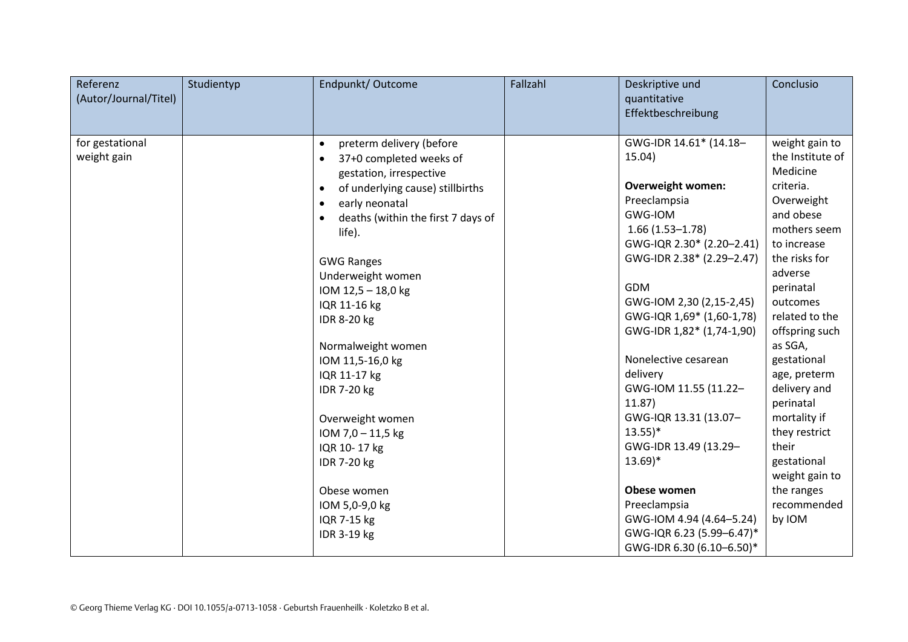| Referenz<br>(Autor/Journal/Titel) | Studientyp | Endpunkt/Outcome                                                | Fallzahl | Deskriptive und<br>quantitative                        | Conclusio                    |
|-----------------------------------|------------|-----------------------------------------------------------------|----------|--------------------------------------------------------|------------------------------|
|                                   |            |                                                                 |          | Effektbeschreibung                                     |                              |
| for gestational                   |            | preterm delivery (before<br>$\bullet$                           |          | GWG-IDR 14.61* (14.18-                                 | weight gain to               |
| weight gain                       |            | 37+0 completed weeks of<br>$\bullet$<br>gestation, irrespective |          | 15.04)                                                 | the Institute of<br>Medicine |
|                                   |            | of underlying cause) stillbirths<br>$\bullet$                   |          | <b>Overweight women:</b>                               | criteria.                    |
|                                   |            | early neonatal<br>$\bullet$                                     |          | Preeclampsia                                           | Overweight                   |
|                                   |            | deaths (within the first 7 days of                              |          | <b>GWG-IOM</b>                                         | and obese                    |
|                                   |            | life).                                                          |          | $1.66(1.53 - 1.78)$                                    | mothers seem                 |
|                                   |            |                                                                 |          | GWG-IQR 2.30* (2.20-2.41)                              | to increase                  |
|                                   |            | <b>GWG Ranges</b>                                               |          | GWG-IDR 2.38* (2.29-2.47)                              | the risks for<br>adverse     |
|                                   |            | Underweight women<br>IOM 12,5 - 18,0 kg                         |          | <b>GDM</b>                                             | perinatal                    |
|                                   |            | IQR 11-16 kg                                                    |          | GWG-IOM 2,30 (2,15-2,45)                               | outcomes                     |
|                                   |            | IDR 8-20 kg                                                     |          | GWG-IQR 1,69* (1,60-1,78)                              | related to the               |
|                                   |            |                                                                 |          | GWG-IDR 1,82* (1,74-1,90)                              | offspring such               |
|                                   |            | Normalweight women                                              |          |                                                        | as SGA,                      |
|                                   |            | IOM 11,5-16,0 kg                                                |          | Nonelective cesarean                                   | gestational                  |
|                                   |            | IQR 11-17 kg                                                    |          | delivery                                               | age, preterm                 |
|                                   |            | IDR 7-20 kg                                                     |          | GWG-IOM 11.55 (11.22-<br>11.87)                        | delivery and<br>perinatal    |
|                                   |            | Overweight women                                                |          | GWG-IQR 13.31 (13.07-                                  | mortality if                 |
|                                   |            | IOM 7,0 - 11,5 kg                                               |          | $13.55$ <sup>*</sup>                                   | they restrict                |
|                                   |            | IQR 10-17 kg                                                    |          | GWG-IDR 13.49 (13.29-                                  | their                        |
|                                   |            | IDR 7-20 kg                                                     |          | $13.69$ <sup>*</sup>                                   | gestational                  |
|                                   |            |                                                                 |          |                                                        | weight gain to               |
|                                   |            | Obese women                                                     |          | Obese women                                            | the ranges                   |
|                                   |            | IOM 5,0-9,0 kg                                                  |          | Preeclampsia                                           | recommended                  |
|                                   |            | IQR 7-15 kg                                                     |          | GWG-IOM 4.94 (4.64-5.24)                               | by IOM                       |
|                                   |            | IDR 3-19 kg                                                     |          | GWG-IQR 6.23 (5.99-6.47)*<br>GWG-IDR 6.30 (6.10-6.50)* |                              |
|                                   |            |                                                                 |          |                                                        |                              |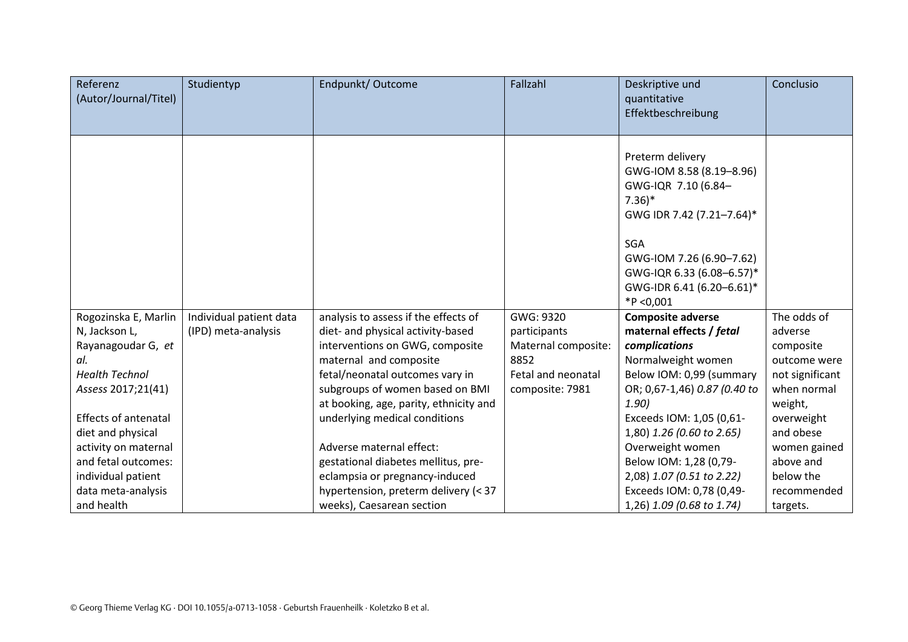| Referenz<br>(Autor/Journal/Titel)                                                                                                                                                                                                                                |                                                | Endpunkt/Outcome                                                                                                                                                                                                                                                                                                                                                                             | Fallzahl                                                                                          | Deskriptive und<br>quantitative<br>Effektbeschreibung                                                                                                                                                                                                                                                                            | Conclusio                                                                                                                                                                            |
|------------------------------------------------------------------------------------------------------------------------------------------------------------------------------------------------------------------------------------------------------------------|------------------------------------------------|----------------------------------------------------------------------------------------------------------------------------------------------------------------------------------------------------------------------------------------------------------------------------------------------------------------------------------------------------------------------------------------------|---------------------------------------------------------------------------------------------------|----------------------------------------------------------------------------------------------------------------------------------------------------------------------------------------------------------------------------------------------------------------------------------------------------------------------------------|--------------------------------------------------------------------------------------------------------------------------------------------------------------------------------------|
|                                                                                                                                                                                                                                                                  |                                                |                                                                                                                                                                                                                                                                                                                                                                                              |                                                                                                   | Preterm delivery<br>GWG-IOM 8.58 (8.19-8.96)<br>GWG-IQR 7.10 (6.84-<br>$7.36$ <sup>*</sup><br>GWG IDR 7.42 (7.21-7.64)*<br><b>SGA</b><br>GWG-IOM 7.26 (6.90-7.62)<br>GWG-IQR 6.33 (6.08-6.57)*<br>GWG-IDR 6.41 (6.20-6.61)*<br>$*P < 0,001$                                                                                      |                                                                                                                                                                                      |
| Rogozinska E, Marlin<br>N, Jackson L,<br>Rayanagoudar G, et<br>al.<br><b>Health Technol</b><br>Assess 2017;21(41)<br><b>Effects of antenatal</b><br>diet and physical<br>activity on maternal<br>and fetal outcomes:<br>individual patient<br>data meta-analysis | Individual patient data<br>(IPD) meta-analysis | analysis to assess if the effects of<br>diet- and physical activity-based<br>interventions on GWG, composite<br>maternal and composite<br>fetal/neonatal outcomes vary in<br>subgroups of women based on BMI<br>at booking, age, parity, ethnicity and<br>underlying medical conditions<br>Adverse maternal effect:<br>gestational diabetes mellitus, pre-<br>eclampsia or pregnancy-induced | GWG: 9320<br>participants<br>Maternal composite:<br>8852<br>Fetal and neonatal<br>composite: 7981 | <b>Composite adverse</b><br>maternal effects / fetal<br>complications<br>Normalweight women<br>Below IOM: 0,99 (summary<br>OR; 0,67-1,46) 0.87 (0.40 to<br>1.90)<br>Exceeds IOM: 1,05 (0,61-<br>1,80) 1.26 (0.60 to 2.65)<br>Overweight women<br>Below IOM: 1,28 (0,79-<br>2,08) 1.07 (0.51 to 2.22)<br>Exceeds IOM: 0,78 (0,49- | The odds of<br>adverse<br>composite<br>outcome were<br>not significant<br>when normal<br>weight,<br>overweight<br>and obese<br>women gained<br>above and<br>below the<br>recommended |
| and health                                                                                                                                                                                                                                                       |                                                | hypertension, preterm delivery (< 37<br>weeks), Caesarean section                                                                                                                                                                                                                                                                                                                            |                                                                                                   |                                                                                                                                                                                                                                                                                                                                  | 1,26) 1.09 (0.68 to 1.74)                                                                                                                                                            |